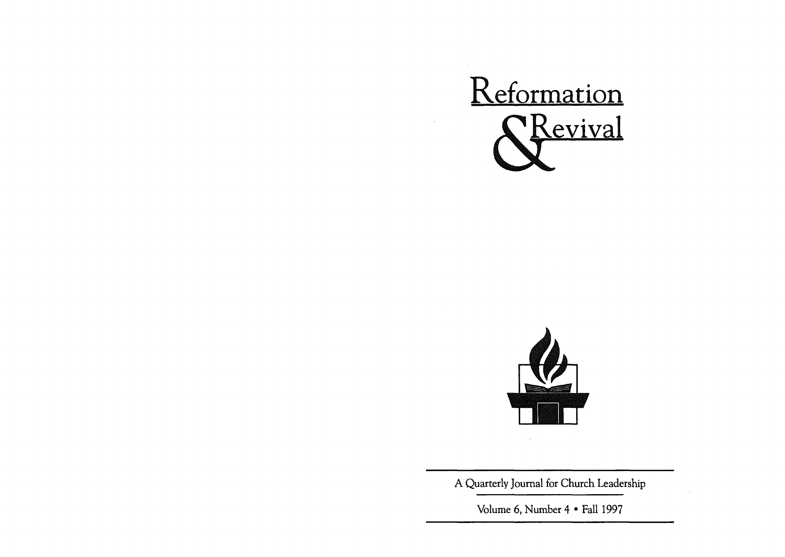



A Quarterly Journal for Church Leadership

Volume 6, Number 4 • Fall 1997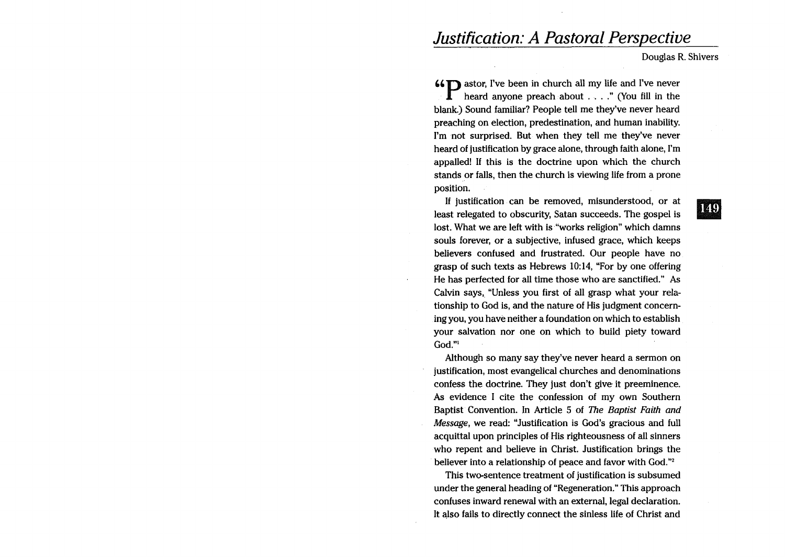# *Justification: A Pastoral Perspective*

Douglas R. Shivers

66<sup>T</sup> astor, I've been in church all my life and I've never heard anyone preach about , ... " (You fill in the blank.) Sound familiar? People tell me they've never heard preaching on election, predestination, and human inability. I'm not surprised. But when they tell me they've never heard of justification by grace alone, through faith alone, I'm appalled! If this is the doctrine upon which the church stands or falls, then the church is viewing life from a prone position.

If justification can be removed, misunderstood, or at least relegated to obscurity, Satan succeeds. The gospel is lost. What we are left with is "works religion" which damns souls forever, or a subjective, infused grace, which keeps believers confused and frustrated. Our people have no grasp of such texts as Hebrews 10:14, "For by one offering He has perfected for all time those who are sanctified." As Calvin says, "Unless you first of all grasp what your relationship to God is, and the nature of His judgment concerning you, you have neither a foundation on which to establish your salvation nor one on which to build piety toward God."1

Although so many say they've never heard a sermon on justification, most evangelical churches and denominations confess the doctrine. They just don't give it preeminence. As evidence I cite the confession of my own Southern Baptist Convention. In Article 5 of *The Baptist Faith and Message,* we read: "Justification is God's gracious and full acquittal upon principles of His righteousness of all sinners who repent and believe in Christ. Justification brings the believer into a relationship of peace and favor with God."2

This two-sentence treatment of justification is subsumed under the general heading of "Regeneration." This approach confuses inward renewal with an external, legal declaration. It also fails to directly connect the sinless life of Christ and 149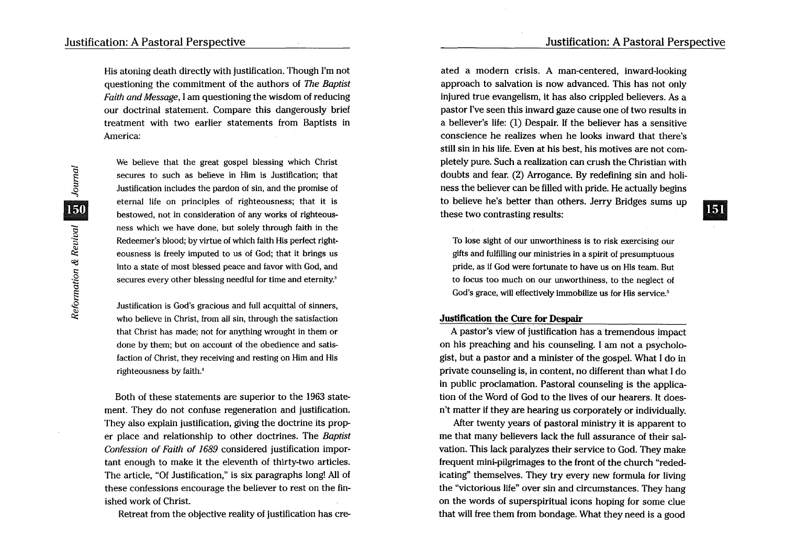151

His atoning death directly with justification. Though I'm not questioning the commitment of the authors of The Baptist Faith and Message, I am questioning the wisdom of reducing our doctrinal statement. Compare this dangerously brief treatment with two earlier statements from Baptists in America:

We believe that the great gospel blessing which Christ secures to such as believe in Him is Justification; that Justification includes the pardon of sin, and the promise of eternal life on principles of righteousness; that it is bestowed, not in consideration of any works of righteousness which we have done, but solely through faith in the Redeemer's blood; by virtue of which faith His perfect righteousness is freely imputed to us of God; that it brings us into a state of most blessed peace and favor with God, and secures every other blessing needful for time and eternity.<sup>3</sup>

Justification is God's gracious and full acquittal of sinners, who believe in Christ, from all sin, through the satisfaction that Christ has made; not for anything wrought in them or done by them; but on account of the obedience and satisfaction of Christ, they receiving and resting on Him and His righteousness by faith.<sup>4</sup>

Both of these statements are superior to the 1963 statement. They do not confuse regeneration and justification. They also explain justification, giving the doctrine its proper place and relationship to other doctrines. The Baptist Confession of Faith of 1689 considered justification important enough to make it the eleventh of thirty-two articles. The article, "Of Justification," is six paragraphs long! All of these confessions encourage the believer to rest on the finished work of Christ.

Retreat from the objective reality of justification has cre-

ated a modern crisis. A man-centered, inward-looking approach to salvation is now advanced. This has not only injured true evangelism, it has also crippled believers. As a pastor I've seen this inward gaze cause one of two results in a believer's life: (1) Despair. If the believer has a sensitive conscience he realizes when he looks inward that there's still sin in his life. Even at his best, his motives are not completely pure. Such a realization can crush the Christian with doubts and fear. (2) Arrogance. By redefining sin and holiness the believer can be filled with pride. He actually begins to believe he's better than others. Jerry Bridges sums up these two contrasting results:

To lose sight of our unworthiness is to risk exercising our gifts and fulfilling our ministries in a spirit of presumptuous pride, as if God were fortunate to have us on His team. But to focus too much on our unworthiness, to the neglect of God's grace, will effectively immobilize us for His service.<sup>5</sup>

## Justification the Cure for Despair

A pastor's view of justification has atremendous impact on his preaching and his counseling. I am not a psychologist, but a pastor and a minister of the gospel. What I do in private counseling is, in content, no different than what I do in public proclamation. Pastoral counseling is the application of the Word of God to the lives of our hearers. It doesn't matter if they are hearing us corporately or individually.

After twenty years of pastoral ministry it is apparent to me that many believers lack the full assurance of their salvation. This lack paralyzes their service to God. They make frequent mini-pilgrimages to the front of the church "rededicating" themselves. They try every new formula for living the "victorious life" over sin and circumstances. They hang on the words of superspiritual icons hoping for some clue that will free them from bondage. What they need is a good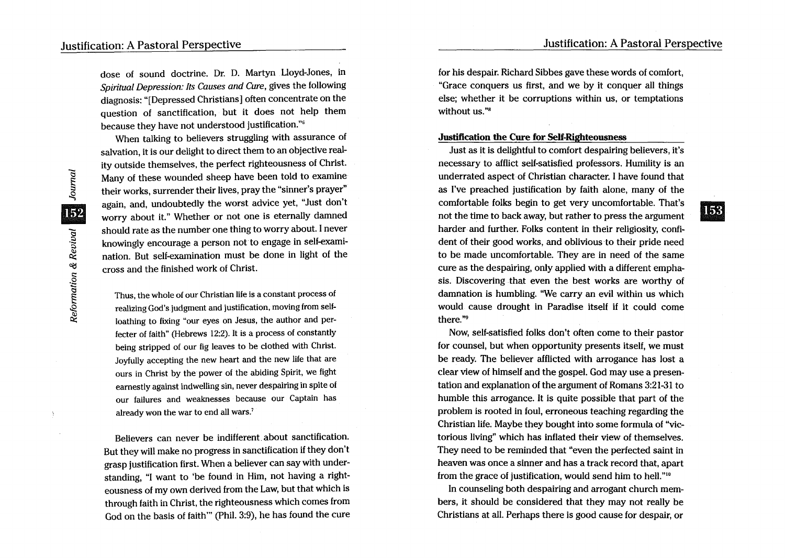**153** 

dose of sound doctrine. Dr. D. Martyn Lloyd-Jones, in *Spiritual Depression: Its Causes and Cure,* gives the following diagnosis: "[Depressed Christians] often concentrate on the question of sanctification, but it does not help them because they have not understood justification."6

When talking to believers struggling with assurance of salvation, it is our delight to direct them to an objective reality outside themselves, the perfect righteousness of Christ. Many of these wounded sheep have been told to examine their works, surrender their lives, pray the "sinner's prayer" again, and, undoubtedly the worst advice yet, "Just don't worry about it." Whether or not one is eternally damned should rate as the number one thing to worry about. I never knowingly encourage a person not to engage in self-examination. But self-examination must be done in light of the cross and the finished work of Christ.

Thus, the whole of our Christian life is a constant process of realizing God's.judgment and justification, moving from selfloathing to fixing "our eyes on Jesus, the author and perfecter of faith" (Hebrews 12:2). It is a process of constantly being stripped of our fig leaves to be clothed with Christ. Joyfully accepting the new heart and the new life that are ours in Christ by the power of the abiding Spirit, we fight earnestly against indwelling sin, never despairing in spite of our failures and weaknesses because our Captain has already won the war to end all wars.<sup>7</sup>

Believers can never be indifferent. about sanctification. But they will make no progress in sanctification if they don't grasp justification first. When a believer can say with understanding, "I want to 'be found in Him, not having a righteousness of my own derived from the Law, but that which is through faith in Christ, the righteousness which comes from God on the basis of faith'" (Phil. 3:9), he has found the cure for his despair. Richard Sibbes gave these words of comfort, "Grace conquers us first, and we by it conquer all things else; whether it be corruptions within us, or temptations without us."<sup>8</sup>

# Justification the Cure for Self-Righteousness

Just as it is delightful to comfort despairing believers, it's necessary to afflict self-satisfied professors. Humility is an underrated aspect· of Christian character. I have found that as I've preached justification by faith alone, many of the comfortable folks begin to get very uncomfortable. That's not the time to back away, but rather to press the argument harder and further. Folks content in their religiosity, confident of their good works, and oblivious to their pride need to be made uncomfortable. They are in need of the same cure as the despairing, only applied with a different emphasis. Discovering that even the best works are worthy of damnation is humbling. "We carry an evil within us which would cause drought in Paradise itself if it could come there. "9

Now, self-satisfied folks don't often come to their pastor for counsel, but when opportunity presents itself, we must be ready. The believer afflicted with arrogance has lost a clear view of himself and the gospel. God may use a presentation and explanation of the argument of Romans 3:21-31 to humble this arrogance. It is quite possible that part of the problem is rooted in foul, erroneous teaching regarding the Christian life. Maybe they bought into some formula of "victorious living" which has inflated their view of themselves. They need to be reminded that "even the perfected saint in heaven was once a sinner and has a track record that, apart from the grace of justification, would send him to hell."10

In counseling both despairing and arrogant church members, it should be considered that they may not really be Christians at all. Perhaps there is good cause for despair, or